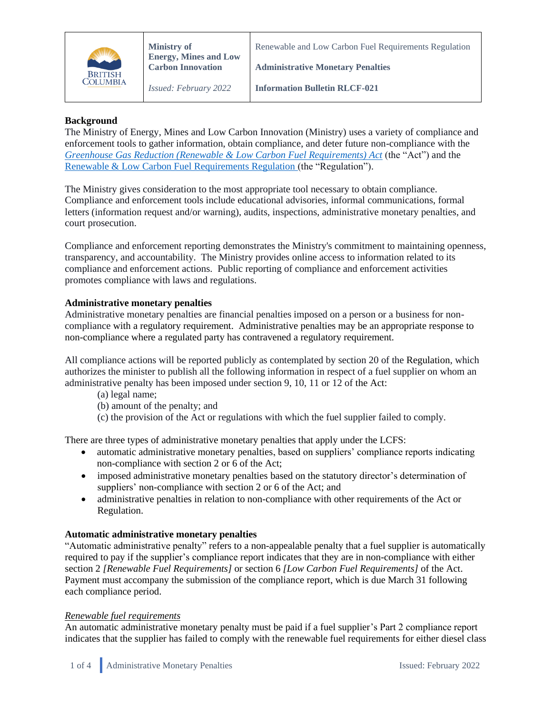

*Issued: February 2022*

Renewable and Low Carbon Fuel Requirements Regulation

**Administrative Monetary Penalties**

**Information Bulletin RLCF-021**

### **Background**

The Ministry of Energy, Mines and Low Carbon Innovation (Ministry) uses a variety of compliance and enforcement tools to gather information, obtain compliance, and deter future non-compliance with the *[Greenhouse Gas Reduction \(Renewable & Low Carbon Fuel Requirements\) Act](http://www.bclaws.ca/civix/document/id/complete/statreg/08016_01)* (the "Act") and the [Renewable & Low Carbon Fuel Requirements Regulation](http://www.bclaws.ca/civix/document/id/complete/statreg/394_2008) (the "Regulation").

The Ministry gives consideration to the most appropriate tool necessary to obtain compliance. Compliance and enforcement tools include educational advisories, informal communications, formal letters (information request and/or warning), audits, inspections, administrative monetary penalties, and court prosecution.

Compliance and enforcement reporting demonstrates the Ministry's commitment to maintaining openness, transparency, and accountability. The Ministry provides online access to information related to its compliance and enforcement actions. Public reporting of compliance and enforcement activities promotes compliance with laws and regulations.

### **Administrative monetary penalties**

Administrative monetary penalties are financial penalties imposed on a person or a business for noncompliance with a regulatory requirement. Administrative penalties may be an appropriate response to non-compliance where a regulated party has contravened a regulatory requirement.

All compliance actions will be reported publicly as contemplated by section 20 of the Regulation, which authorizes the minister to publish all the following information in respect of a fuel supplier on whom an administrative penalty has been imposed under section 9, 10, 11 or 12 of the Act:

- (a) legal name;
- (b) amount of the penalty; and
- (c) the provision of the Act or regulations with which the fuel supplier failed to comply.

There are three types of administrative monetary penalties that apply under the LCFS:

- automatic administrative monetary penalties, based on suppliers' compliance reports indicating non-compliance with section 2 or 6 of the Act;
- imposed administrative monetary penalties based on the statutory director's determination of suppliers' non-compliance with section 2 or 6 of the Act; and
- administrative penalties in relation to non-compliance with other requirements of the Act or Regulation.

#### **Automatic administrative monetary penalties**

"Automatic administrative penalty" refers to a non-appealable penalty that a fuel supplier is automatically required to pay if the supplier's compliance report indicates that they are in non-compliance with either section 2 *[Renewable Fuel Requirements]* or section 6 *[Low Carbon Fuel Requirements]* of the Act. Payment must accompany the submission of the compliance report, which is due March 31 following each compliance period.

#### *Renewable fuel requirements*

An automatic administrative monetary penalty must be paid if a fuel supplier's Part 2 compliance report indicates that the supplier has failed to comply with the renewable fuel requirements for either diesel class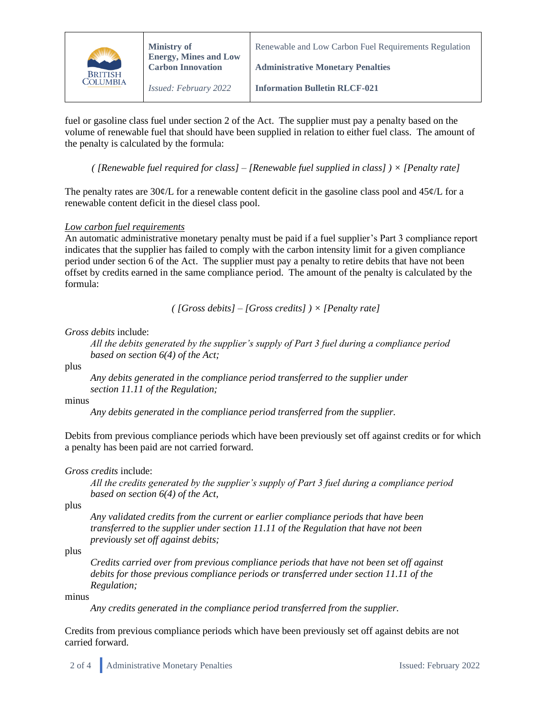

*Issued: February 2022*

**Administrative Monetary Penalties**

**Information Bulletin RLCF-021**

fuel or gasoline class fuel under section 2 of the Act. The supplier must pay a penalty based on the volume of renewable fuel that should have been supplied in relation to either fuel class. The amount of the penalty is calculated by the formula:

*( [Renewable fuel required for class] – [Renewable fuel supplied in class] ) × [Penalty rate]*

The penalty rates are  $30\frac{\epsilon}{L}$  for a renewable content deficit in the gasoline class pool and  $45\frac{\epsilon}{L}$  for a renewable content deficit in the diesel class pool.

## *Low carbon fuel requirements*

An automatic administrative monetary penalty must be paid if a fuel supplier's Part 3 compliance report indicates that the supplier has failed to comply with the carbon intensity limit for a given compliance period under section 6 of the Act. The supplier must pay a penalty to retire debits that have not been offset by credits earned in the same compliance period. The amount of the penalty is calculated by the formula:

*( [Gross debits] – [Gross credits] ) × [Penalty rate]* 

# *Gross debits* include:

*All the debits generated by the supplier's supply of Part 3 fuel during a compliance period based on section 6(4) of the Act;*

plus

*Any debits generated in the compliance period transferred to the supplier under section 11.11 of the Regulation;*

## minus

*Any debits generated in the compliance period transferred from the supplier.* 

Debits from previous compliance periods which have been previously set off against credits or for which a penalty has been paid are not carried forward.

## *Gross credits* include:

*All the credits generated by the supplier's supply of Part 3 fuel during a compliance period based on section 6(4) of the Act,* 

plus

*Any validated credits from the current or earlier compliance periods that have been transferred to the supplier under section 11.11 of the Regulation that have not been previously set off against debits;* 

plus

*Credits carried over from previous compliance periods that have not been set off against debits for those previous compliance periods or transferred under section 11.11 of the Regulation;* 

minus

*Any credits generated in the compliance period transferred from the supplier.* 

Credits from previous compliance periods which have been previously set off against debits are not carried forward.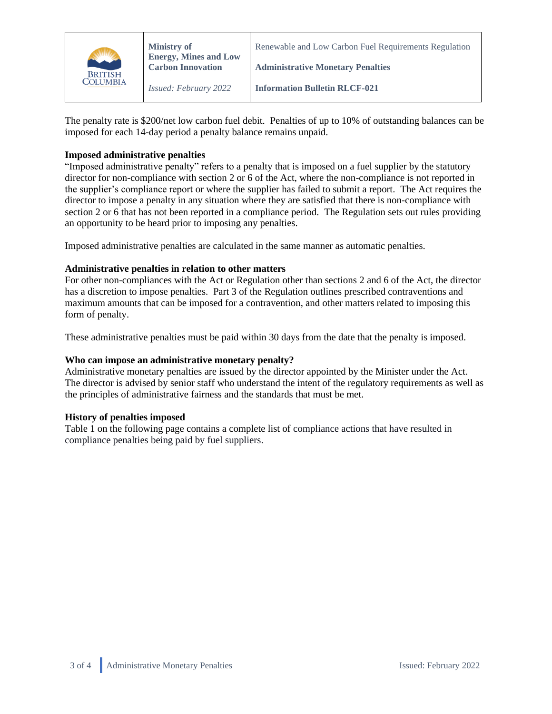

*Issued: February 2022*

**Administrative Monetary Penalties**

**Information Bulletin RLCF-021**

The penalty rate is \$200/net low carbon fuel debit. Penalties of up to 10% of outstanding balances can be imposed for each 14-day period a penalty balance remains unpaid.

### **Imposed administrative penalties**

"Imposed administrative penalty" refers to a penalty that is imposed on a fuel supplier by the statutory director for non-compliance with section 2 or 6 of the Act, where the non-compliance is not reported in the supplier's compliance report or where the supplier has failed to submit a report. The Act requires the director to impose a penalty in any situation where they are satisfied that there is non-compliance with section 2 or 6 that has not been reported in a compliance period. The Regulation sets out rules providing an opportunity to be heard prior to imposing any penalties.

Imposed administrative penalties are calculated in the same manner as automatic penalties.

### **Administrative penalties in relation to other matters**

For other non-compliances with the Act or Regulation other than sections 2 and 6 of the Act, the director has a discretion to impose penalties. Part 3 of the Regulation outlines prescribed contraventions and maximum amounts that can be imposed for a contravention, and other matters related to imposing this form of penalty.

These administrative penalties must be paid within 30 days from the date that the penalty is imposed.

## **Who can impose an administrative monetary penalty?**

Administrative monetary penalties are issued by the director appointed by the Minister under the Act. The director is advised by senior staff who understand the intent of the regulatory requirements as well as the principles of administrative fairness and the standards that must be met.

#### **History of penalties imposed**

Table 1 on the following page contains a complete list of compliance actions that have resulted in compliance penalties being paid by fuel suppliers.